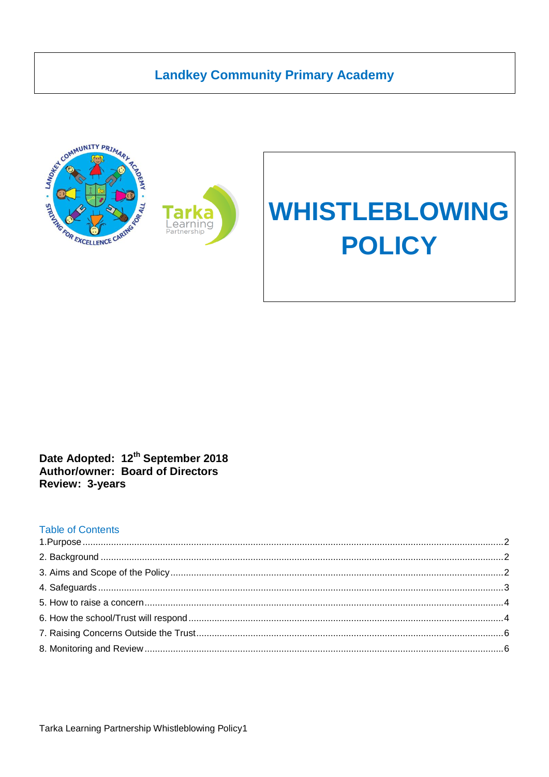# **Landkey Community Primary Academy**







# Date Adopted: 12<sup>th</sup> September 2018<br>Author/owner: Board of Directors Review: 3-years

# **Table of Contents**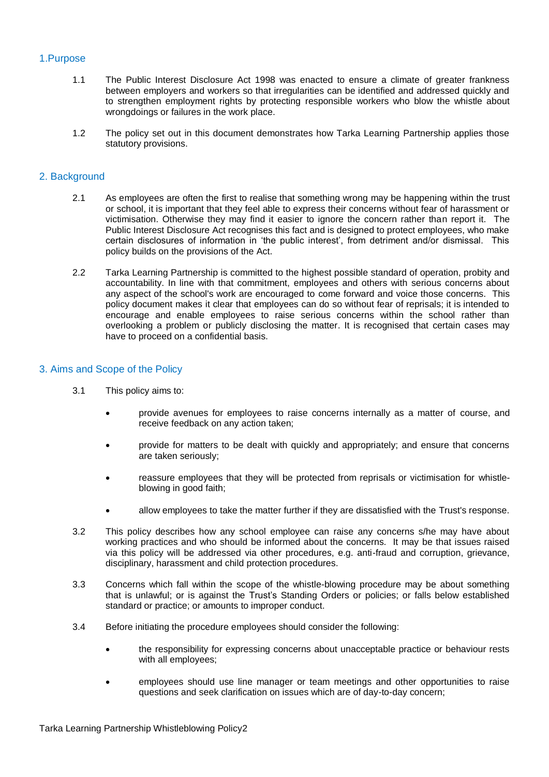# <span id="page-1-0"></span>1.Purpose

- 1.1 The Public Interest Disclosure Act 1998 was enacted to ensure a climate of greater frankness between employers and workers so that irregularities can be identified and addressed quickly and to strengthen employment rights by protecting responsible workers who blow the whistle about wrongdoings or failures in the work place.
- 1.2 The policy set out in this document demonstrates how Tarka Learning Partnership applies those statutory provisions.

# <span id="page-1-1"></span>2. Background

- 2.1 As employees are often the first to realise that something wrong may be happening within the trust or school, it is important that they feel able to express their concerns without fear of harassment or victimisation. Otherwise they may find it easier to ignore the concern rather than report it. The Public Interest Disclosure Act recognises this fact and is designed to protect employees, who make certain disclosures of information in 'the public interest', from detriment and/or dismissal. This policy builds on the provisions of the Act.
- 2.2 Tarka Learning Partnership is committed to the highest possible standard of operation, probity and accountability. In line with that commitment, employees and others with serious concerns about any aspect of the school's work are encouraged to come forward and voice those concerns. This policy document makes it clear that employees can do so without fear of reprisals; it is intended to encourage and enable employees to raise serious concerns within the school rather than overlooking a problem or publicly disclosing the matter. It is recognised that certain cases may have to proceed on a confidential basis.

# <span id="page-1-2"></span>3. Aims and Scope of the Policy

- 3.1 This policy aims to:
	- provide avenues for employees to raise concerns internally as a matter of course, and receive feedback on any action taken;
	- provide for matters to be dealt with quickly and appropriately; and ensure that concerns are taken seriously;
	- reassure employees that they will be protected from reprisals or victimisation for whistleblowing in good faith;
	- allow employees to take the matter further if they are dissatisfied with the Trust's response.
- 3.2 This policy describes how any school employee can raise any concerns s/he may have about working practices and who should be informed about the concerns. It may be that issues raised via this policy will be addressed via other procedures, e.g. anti-fraud and corruption, grievance, disciplinary, harassment and child protection procedures.
- 3.3 Concerns which fall within the scope of the whistle-blowing procedure may be about something that is unlawful; or is against the Trust's Standing Orders or policies; or falls below established standard or practice; or amounts to improper conduct.
- 3.4 Before initiating the procedure employees should consider the following:
	- the responsibility for expressing concerns about unacceptable practice or behaviour rests with all employees;
	- employees should use line manager or team meetings and other opportunities to raise questions and seek clarification on issues which are of day-to-day concern;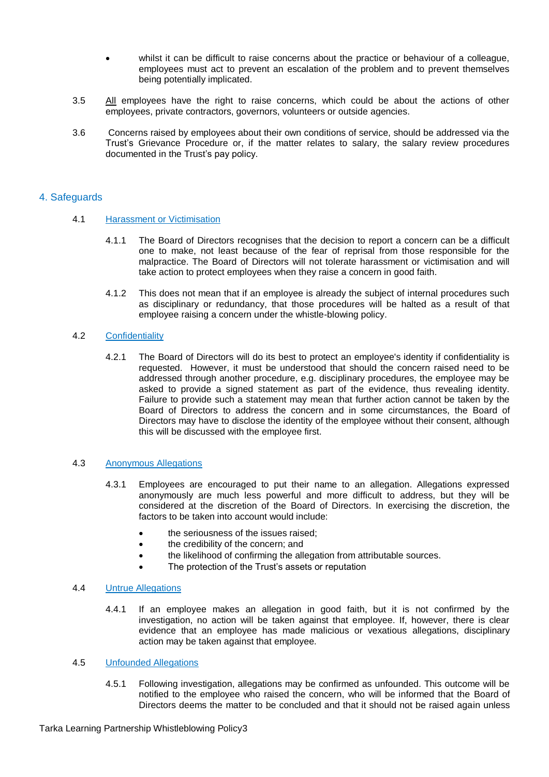- whilst it can be difficult to raise concerns about the practice or behaviour of a colleague, employees must act to prevent an escalation of the problem and to prevent themselves being potentially implicated.
- 3.5 All employees have the right to raise concerns, which could be about the actions of other employees, private contractors, governors, volunteers or outside agencies.
- 3.6 Concerns raised by employees about their own conditions of service, should be addressed via the Trust's Grievance Procedure or, if the matter relates to salary, the salary review procedures documented in the Trust's pay policy.

# <span id="page-2-0"></span>4. Safeguards

- 4.1 Harassment or Victimisation
	- 4.1.1 The Board of Directors recognises that the decision to report a concern can be a difficult one to make, not least because of the fear of reprisal from those responsible for the malpractice. The Board of Directors will not tolerate harassment or victimisation and will take action to protect employees when they raise a concern in good faith.
	- 4.1.2 This does not mean that if an employee is already the subject of internal procedures such as disciplinary or redundancy, that those procedures will be halted as a result of that employee raising a concern under the whistle-blowing policy.

#### 4.2 Confidentiality

4.2.1 The Board of Directors will do its best to protect an employee's identity if confidentiality is requested. However, it must be understood that should the concern raised need to be addressed through another procedure, e.g. disciplinary procedures, the employee may be asked to provide a signed statement as part of the evidence, thus revealing identity. Failure to provide such a statement may mean that further action cannot be taken by the Board of Directors to address the concern and in some circumstances, the Board of Directors may have to disclose the identity of the employee without their consent, although this will be discussed with the employee first.

#### 4.3 Anonymous Allegations

- 4.3.1 Employees are encouraged to put their name to an allegation. Allegations expressed anonymously are much less powerful and more difficult to address, but they will be considered at the discretion of the Board of Directors. In exercising the discretion, the factors to be taken into account would include:
	- the seriousness of the issues raised;
	- the credibility of the concern; and
	- the likelihood of confirming the allegation from attributable sources.
	- The protection of the Trust's assets or reputation

# 4.4 Untrue Allegations

4.4.1 If an employee makes an allegation in good faith, but it is not confirmed by the investigation, no action will be taken against that employee. If, however, there is clear evidence that an employee has made malicious or vexatious allegations, disciplinary action may be taken against that employee.

#### 4.5 Unfounded Allegations

4.5.1 Following investigation, allegations may be confirmed as unfounded. This outcome will be notified to the employee who raised the concern, who will be informed that the Board of Directors deems the matter to be concluded and that it should not be raised again unless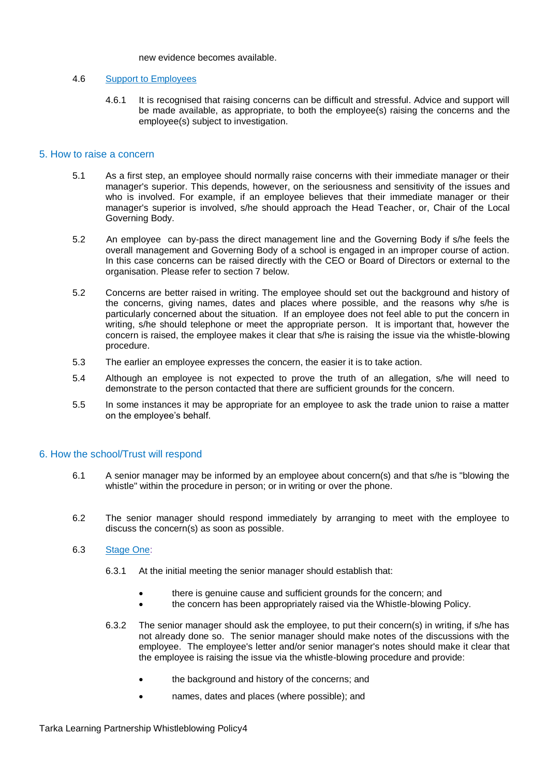new evidence becomes available.

#### 4.6 Support to Employees

4.6.1 It is recognised that raising concerns can be difficult and stressful. Advice and support will be made available, as appropriate, to both the employee(s) raising the concerns and the employee(s) subject to investigation.

#### <span id="page-3-0"></span>5. How to raise a concern

- 5.1 As a first step, an employee should normally raise concerns with their immediate manager or their manager's superior. This depends, however, on the seriousness and sensitivity of the issues and who is involved. For example, if an employee believes that their immediate manager or their manager's superior is involved, s/he should approach the Head Teacher, or, Chair of the Local Governing Body.
- 5.2 An employee can by-pass the direct management line and the Governing Body if s/he feels the overall management and Governing Body of a school is engaged in an improper course of action. In this case concerns can be raised directly with the CEO or Board of Directors or external to the organisation. Please refer to section 7 below.
- 5.2 Concerns are better raised in writing. The employee should set out the background and history of the concerns, giving names, dates and places where possible, and the reasons why s/he is particularly concerned about the situation. If an employee does not feel able to put the concern in writing, s/he should telephone or meet the appropriate person. It is important that, however the concern is raised, the employee makes it clear that s/he is raising the issue via the whistle-blowing procedure.
- 5.3 The earlier an employee expresses the concern, the easier it is to take action.
- 5.4 Although an employee is not expected to prove the truth of an allegation, s/he will need to demonstrate to the person contacted that there are sufficient grounds for the concern.
- 5.5 In some instances it may be appropriate for an employee to ask the trade union to raise a matter on the employee's behalf.

# <span id="page-3-1"></span>6. How the school/Trust will respond

- 6.1 A senior manager may be informed by an employee about concern(s) and that s/he is "blowing the whistle" within the procedure in person; or in writing or over the phone.
- 6.2 The senior manager should respond immediately by arranging to meet with the employee to discuss the concern(s) as soon as possible.
- 6.3 Stage One:
	- 6.3.1 At the initial meeting the senior manager should establish that:
		- there is genuine cause and sufficient grounds for the concern; and
		- the concern has been appropriately raised via the Whistle-blowing Policy.
	- 6.3.2 The senior manager should ask the employee, to put their concern(s) in writing, if s/he has not already done so. The senior manager should make notes of the discussions with the employee. The employee's letter and/or senior manager's notes should make it clear that the employee is raising the issue via the whistle-blowing procedure and provide:
		- the background and history of the concerns; and
		- names, dates and places (where possible); and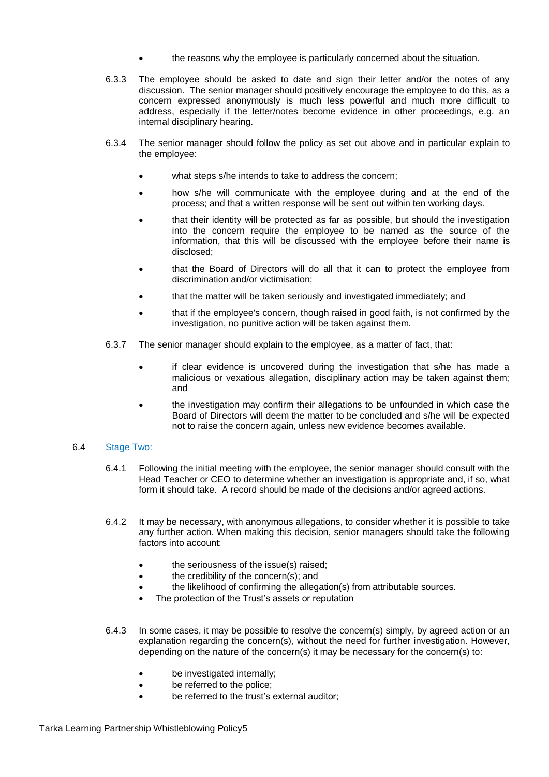- the reasons why the employee is particularly concerned about the situation.
- 6.3.3 The employee should be asked to date and sign their letter and/or the notes of any discussion. The senior manager should positively encourage the employee to do this, as a concern expressed anonymously is much less powerful and much more difficult to address, especially if the letter/notes become evidence in other proceedings, e.g. an internal disciplinary hearing.
- 6.3.4 The senior manager should follow the policy as set out above and in particular explain to the employee:
	- what steps s/he intends to take to address the concern;
	- how s/he will communicate with the employee during and at the end of the process; and that a written response will be sent out within ten working days.
	- that their identity will be protected as far as possible, but should the investigation into the concern require the employee to be named as the source of the information, that this will be discussed with the employee before their name is disclosed;
	- that the Board of Directors will do all that it can to protect the employee from discrimination and/or victimisation;
	- that the matter will be taken seriously and investigated immediately; and
	- that if the employee's concern, though raised in good faith, is not confirmed by the investigation, no punitive action will be taken against them.
- 6.3.7 The senior manager should explain to the employee, as a matter of fact, that:
	- if clear evidence is uncovered during the investigation that s/he has made a malicious or vexatious allegation, disciplinary action may be taken against them; and
	- the investigation may confirm their allegations to be unfounded in which case the Board of Directors will deem the matter to be concluded and s/he will be expected not to raise the concern again, unless new evidence becomes available.

# 6.4 Stage Two:

- 6.4.1 Following the initial meeting with the employee, the senior manager should consult with the Head Teacher or CEO to determine whether an investigation is appropriate and, if so, what form it should take. A record should be made of the decisions and/or agreed actions.
- 6.4.2 It may be necessary, with anonymous allegations, to consider whether it is possible to take any further action. When making this decision, senior managers should take the following factors into account:
	- the seriousness of the issue(s) raised;
	- the credibility of the concern(s); and
	- the likelihood of confirming the allegation(s) from attributable sources.
	- The protection of the Trust's assets or reputation
- 6.4.3 In some cases, it may be possible to resolve the concern(s) simply, by agreed action or an explanation regarding the concern(s), without the need for further investigation. However, depending on the nature of the concern(s) it may be necessary for the concern(s) to:
	- be investigated internally;
	- be referred to the police;
	- be referred to the trust's external auditor;